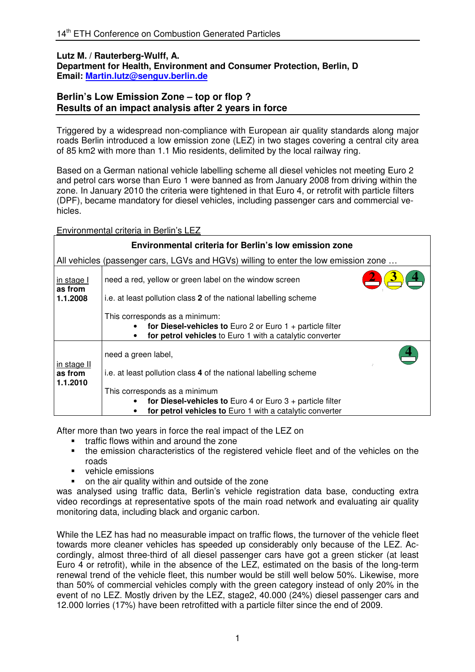## **Lutz M. / Rauterberg-Wulff, A. Department for Health, Environment and Consumer Protection, Berlin, D Email: Martin.lutz@senguv.berlin.de**

## **Berlin's Low Emission Zone – top or flop ? Results of an impact analysis after 2 years in force**

Triggered by a widespread non-compliance with European air quality standards along major roads Berlin introduced a low emission zone (LEZ) in two stages covering a central city area of 85 km2 with more than 1.1 Mio residents, delimited by the local railway ring.

Based on a German national vehicle labelling scheme all diesel vehicles not meeting Euro 2 and petrol cars worse than Euro 1 were banned as from January 2008 from driving within the zone. In January 2010 the criteria were tightened in that Euro 4, or retrofit with particle filters (DPF), became mandatory for diesel vehicles, including passenger cars and commercial vehicles.

## Environmental criteria in Berlin's LEZ

| Environmental criteria for Berlin's low emission zone                               |                                                                                                                                                               |
|-------------------------------------------------------------------------------------|---------------------------------------------------------------------------------------------------------------------------------------------------------------|
| All vehicles (passenger cars, LGVs and HGVs) willing to enter the low emission zone |                                                                                                                                                               |
| in stage I<br>as from                                                               | need a red, yellow or green label on the window screen                                                                                                        |
| 1.1.2008                                                                            | i.e. at least pollution class 2 of the national labelling scheme                                                                                              |
|                                                                                     | This corresponds as a minimum:<br>for Diesel-vehicles to Euro 2 or Euro $1 +$ particle filter<br>for petrol vehicles to Euro 1 with a catalytic converter     |
| in stage II                                                                         | need a green label,                                                                                                                                           |
| as from                                                                             | i.e. at least pollution class 4 of the national labelling scheme                                                                                              |
| 1.1.2010                                                                            | This corresponds as a minimum<br>for Diesel-vehicles to Euro 4 or Euro $3 +$ particle filter<br>for petrol vehicles to Euro 1 with a catalytic converter<br>٠ |

After more than two years in force the real impact of the LEZ on

- **•** traffic flows within and around the zone
- the emission characteristics of the registered vehicle fleet and of the vehicles on the roads
- vehicle emissions
- **•** on the air quality within and outside of the zone

was analysed using traffic data, Berlin's vehicle registration data base, conducting extra video recordings at representative spots of the main road network and evaluating air quality monitoring data, including black and organic carbon.

While the LEZ has had no measurable impact on traffic flows, the turnover of the vehicle fleet towards more cleaner vehicles has speeded up considerably only because of the LEZ. Accordingly, almost three-third of all diesel passenger cars have got a green sticker (at least Euro 4 or retrofit), while in the absence of the LEZ, estimated on the basis of the long-term renewal trend of the vehicle fleet, this number would be still well below 50%. Likewise, more than 50% of commercial vehicles comply with the green category instead of only 20% in the event of no LEZ. Mostly driven by the LEZ, stage2, 40.000 (24%) diesel passenger cars and 12.000 lorries (17%) have been retrofitted with a particle filter since the end of 2009.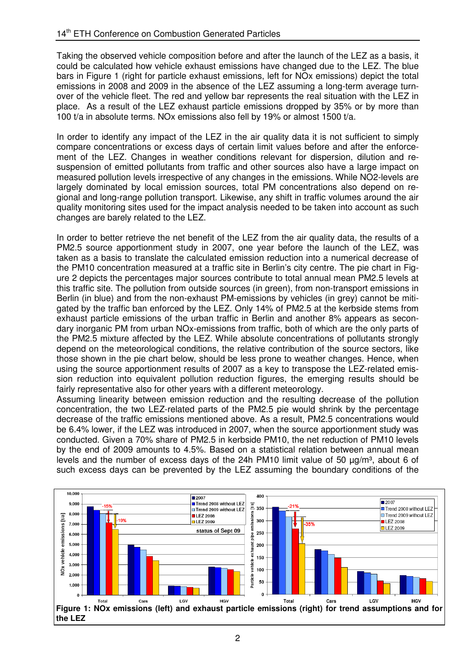Taking the observed vehicle composition before and after the launch of the LEZ as a basis, it could be calculated how vehicle exhaust emissions have changed due to the LEZ. The blue bars in Figure 1 (right for particle exhaust emissions, left for NOx emissions) depict the total emissions in 2008 and 2009 in the absence of the LEZ assuming a long-term average turnover of the vehicle fleet. The red and yellow bar represents the real situation with the LEZ in place. As a result of the LEZ exhaust particle emissions dropped by 35% or by more than 100 t/a in absolute terms. NOx emissions also fell by 19% or almost 1500 t/a.

In order to identify any impact of the LEZ in the air quality data it is not sufficient to simply compare concentrations or excess days of certain limit values before and after the enforcement of the LEZ. Changes in weather conditions relevant for dispersion, dilution and resuspension of emitted pollutants from traffic and other sources also have a large impact on measured pollution levels irrespective of any changes in the emissions. While NO2-levels are largely dominated by local emission sources, total PM concentrations also depend on regional and long-range pollution transport. Likewise, any shift in traffic volumes around the air quality monitoring sites used for the impact analysis needed to be taken into account as such changes are barely related to the LEZ.

In order to better retrieve the net benefit of the LEZ from the air quality data, the results of a PM2.5 source apportionment study in 2007, one year before the launch of the LEZ, was taken as a basis to translate the calculated emission reduction into a numerical decrease of the PM10 concentration measured at a traffic site in Berlin's city centre. The pie chart in Figure 2 depicts the percentages major sources contribute to total annual mean PM2.5 levels at this traffic site. The pollution from outside sources (in green), from non-transport emissions in Berlin (in blue) and from the non-exhaust PM-emissions by vehicles (in grey) cannot be mitigated by the traffic ban enforced by the LEZ. Only 14% of PM2.5 at the kerbside stems from exhaust particle emissions of the urban traffic in Berlin and another 8% appears as secondary inorganic PM from urban NOx-emissions from traffic, both of which are the only parts of the PM2.5 mixture affected by the LEZ. While absolute concentrations of pollutants strongly depend on the meteorological conditions, the relative contribution of the source sectors, like those shown in the pie chart below, should be less prone to weather changes. Hence, when using the source apportionment results of 2007 as a key to transpose the LEZ-related emission reduction into equivalent pollution reduction figures, the emerging results should be fairly representative also for other years with a different meteorology.

Assuming linearity between emission reduction and the resulting decrease of the pollution concentration, the two LEZ-related parts of the PM2.5 pie would shrink by the percentage decrease of the traffic emissions mentioned above. As a result, PM2.5 concentrations would be 6.4% lower, if the LEZ was introduced in 2007, when the source apportionment study was conducted. Given a 70% share of PM2.5 in kerbside PM10, the net reduction of PM10 levels by the end of 2009 amounts to 4.5%. Based on a statistical relation between annual mean levels and the number of excess days of the 24h PM10 limit value of 50  $\mu q/m^3$ , about 6 of such excess days can be prevented by the LEZ assuming the boundary conditions of the

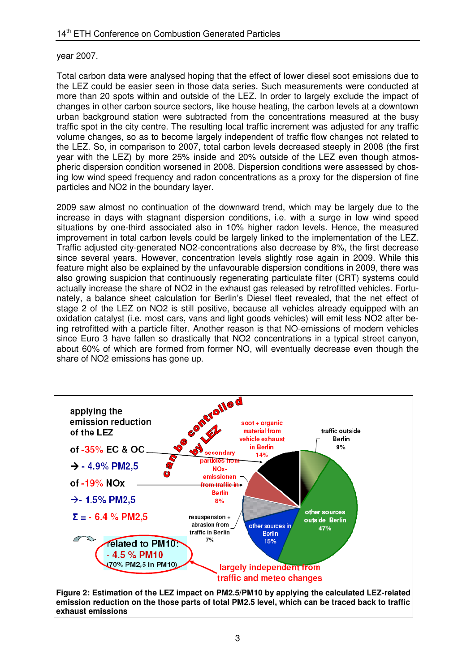## year 2007.

Total carbon data were analysed hoping that the effect of lower diesel soot emissions due to the LEZ could be easier seen in those data series. Such measurements were conducted at more than 20 spots within and outside of the LEZ. In order to largely exclude the impact of changes in other carbon source sectors, like house heating, the carbon levels at a downtown urban background station were subtracted from the concentrations measured at the busy traffic spot in the city centre. The resulting local traffic increment was adjusted for any traffic volume changes, so as to become largely independent of traffic flow changes not related to the LEZ. So, in comparison to 2007, total carbon levels decreased steeply in 2008 (the first year with the LEZ) by more 25% inside and 20% outside of the LEZ even though atmospheric dispersion condition worsened in 2008. Dispersion conditions were assessed by chosing low wind speed frequency and radon concentrations as a proxy for the dispersion of fine particles and NO2 in the boundary layer.

2009 saw almost no continuation of the downward trend, which may be largely due to the increase in days with stagnant dispersion conditions, i.e. with a surge in low wind speed situations by one-third associated also in 10% higher radon levels. Hence, the measured improvement in total carbon levels could be largely linked to the implementation of the LEZ. Traffic adjusted city-generated NO2-concentrations also decrease by 8%, the first decrease since several years. However, concentration levels slightly rose again in 2009. While this feature might also be explained by the unfavourable dispersion conditions in 2009, there was also growing suspicion that continuously regenerating particulate filter (CRT) systems could actually increase the share of NO2 in the exhaust gas released by retrofitted vehicles. Fortunately, a balance sheet calculation for Berlin's Diesel fleet revealed, that the net effect of stage 2 of the LEZ on NO2 is still positive, because all vehicles already equipped with an oxidation catalyst (i.e. most cars, vans and light goods vehicles) will emit less NO2 after being retrofitted with a particle filter. Another reason is that NO-emissions of modern vehicles since Euro 3 have fallen so drastically that NO2 concentrations in a typical street canyon, about 60% of which are formed from former NO, will eventually decrease even though the share of NO2 emissions has gone up.



**Figure 2: Estimation of the LEZ impact on PM2.5/PM10 by applying the calculated LEZ-related emission reduction on the those parts of total PM2.5 level, which can be traced back to traffic exhaust emissions**